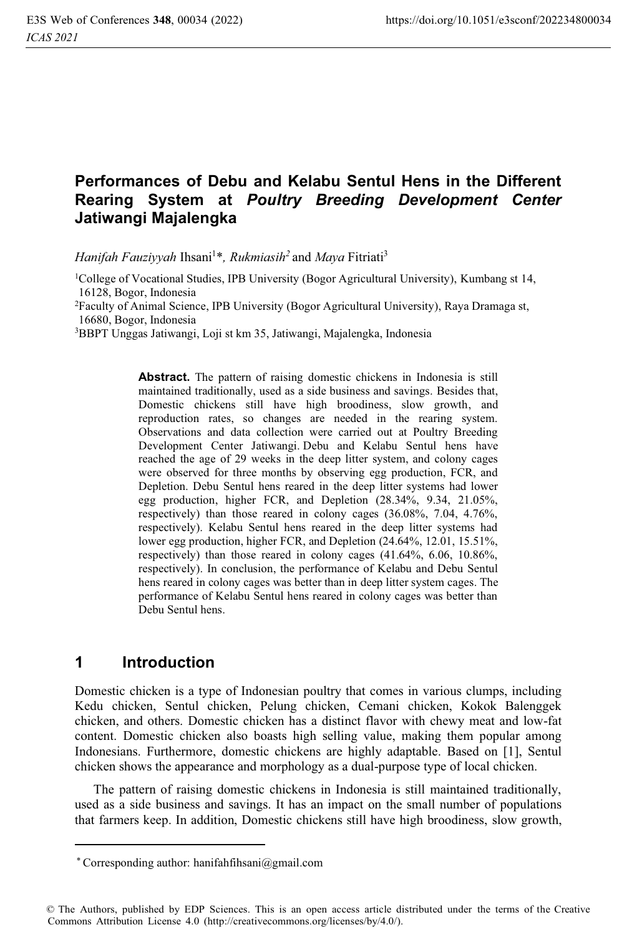# **Performances of Debu and Kelabu Sentul Hens in the Different Rearing System at** *Poultry Breeding Development Center* **Jatiwangi Majalengka**

*Hanifah Fauziyyah* Ihsani1 \**, Rukmiasih<sup>2</sup>*and *Maya* Fitriati3

1College of Vocational Studies, IPB University (Bogor Agricultural University), Kumbang st 14, 16128, Bogor, Indonesia

2 Faculty of Animal Science, IPB University (Bogor Agricultural University), Raya Dramaga st, 16680, Bogor, Indonesia

3BBPT Unggas Jatiwangi, Loji st km 35, Jatiwangi, Majalengka, Indonesia

**Abstract.** The pattern of raising domestic chickens in Indonesia is still maintained traditionally, used as a side business and savings. Besides that, Domestic chickens still have high broodiness, slow growth, and reproduction rates, so changes are needed in the rearing system. Observations and data collection were carried out at Poultry Breeding Development Center Jatiwangi. Debu and Kelabu Sentul hens have reached the age of 29 weeks in the deep litter system, and colony cages were observed for three months by observing egg production, FCR, and Depletion. Debu Sentul hens reared in the deep litter systems had lower egg production, higher FCR, and Depletion (28.34%, 9.34, 21.05%, respectively) than those reared in colony cages (36.08%, 7.04, 4.76%, respectively). Kelabu Sentul hens reared in the deep litter systems had lower egg production, higher FCR, and Depletion (24.64%, 12.01, 15.51%, respectively) than those reared in colony cages (41.64%, 6.06, 10.86%, respectively). In conclusion, the performance of Kelabu and Debu Sentul hens reared in colony cages was better than in deep litter system cages. The performance of Kelabu Sentul hens reared in colony cages was better than Debu Sentul hens.

# **1 Introduction**

Domestic chicken is a type of Indonesian poultry that comes in various clumps, including Kedu chicken, Sentul chicken, Pelung chicken, Cemani chicken, Kokok Balenggek chicken, and others. Domestic chicken has a distinct flavor with chewy meat and low-fat content. Domestic chicken also boasts high selling value, making them popular among Indonesians. Furthermore, domestic chickens are highly adaptable. Based on [1], Sentul chicken shows the appearance and morphology as a dual-purpose type of local chicken.

The pattern of raising domestic chickens in Indonesia is still maintained traditionally, used as a side business and savings. It has an impact on the small number of populations that farmers keep. In addition, Domestic chickens still have high broodiness, slow growth,

Corresponding author: hanifahfihsani@gmail.com \*

<sup>©</sup> The Authors, published by EDP Sciences. This is an open access article distributed under the terms of the Creative Commons Attribution License 4.0 (http://creativecommons.org/licenses/by/4.0/).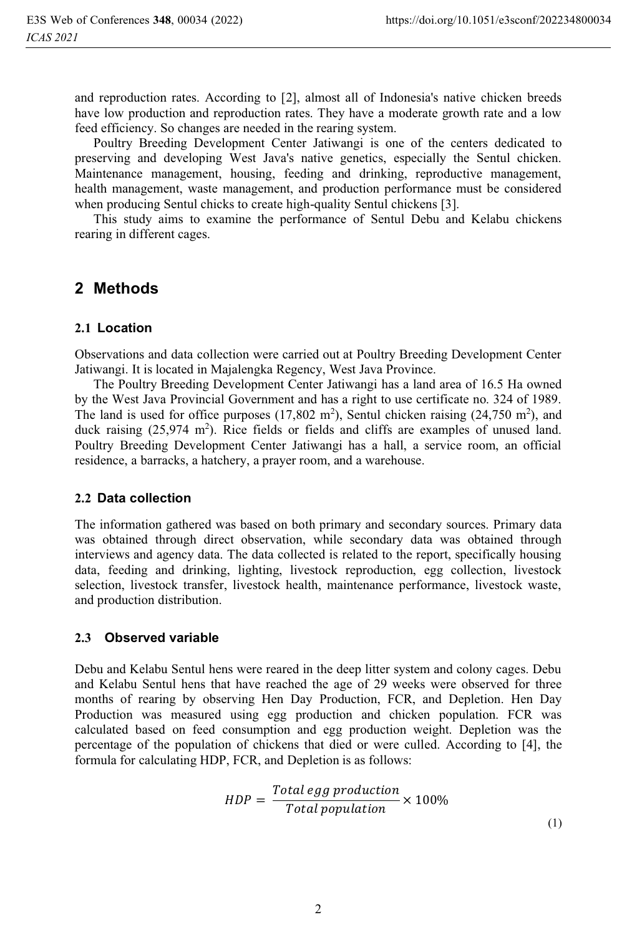and reproduction rates. According to [2], almost all of Indonesia's native chicken breeds have low production and reproduction rates. They have a moderate growth rate and a low feed efficiency. So changes are needed in the rearing system.

Poultry Breeding Development Center Jatiwangi is one of the centers dedicated to preserving and developing West Java's native genetics, especially the Sentul chicken. Maintenance management, housing, feeding and drinking, reproductive management, health management, waste management, and production performance must be considered when producing Sentul chicks to create high-quality Sentul chickens [3].

This study aims to examine the performance of Sentul Debu and Kelabu chickens rearing in different cages.

## **2 Methods**

#### **2.1 Location**

Observations and data collection were carried out at Poultry Breeding Development Center Jatiwangi. It is located in Majalengka Regency, West Java Province.

The Poultry Breeding Development Center Jatiwangi has a land area of 16.5 Ha owned by the West Java Provincial Government and has a right to use certificate no. 324 of 1989. The land is used for office purposes  $(17,802 \text{ m}^2)$ , Sentul chicken raising  $(24,750 \text{ m}^2)$ , and duck raising  $(25,974 \text{ m}^2)$ . Rice fields or fields and cliffs are examples of unused land. Poultry Breeding Development Center Jatiwangi has a hall, a service room, an official residence, a barracks, a hatchery, a prayer room, and a warehouse.

#### **2.2 Data collection**

The information gathered was based on both primary and secondary sources. Primary data was obtained through direct observation, while secondary data was obtained through interviews and agency data. The data collected is related to the report, specifically housing data, feeding and drinking, lighting, livestock reproduction, egg collection, livestock selection, livestock transfer, livestock health, maintenance performance, livestock waste, and production distribution.

#### **2.3 Observed variable**

Debu and Kelabu Sentul hens were reared in the deep litter system and colony cages. Debu and Kelabu Sentul hens that have reached the age of 29 weeks were observed for three months of rearing by observing Hen Day Production, FCR, and Depletion. Hen Day Production was measured using egg production and chicken population. FCR was calculated based on feed consumption and egg production weight. Depletion was the percentage of the population of chickens that died or were culled. According to [4], the formula for calculating HDP, FCR, and Depletion is as follows:

$$
HDP = \frac{Total\ egg\ production}{Total\ population} \times 100\%
$$
\n(1)

2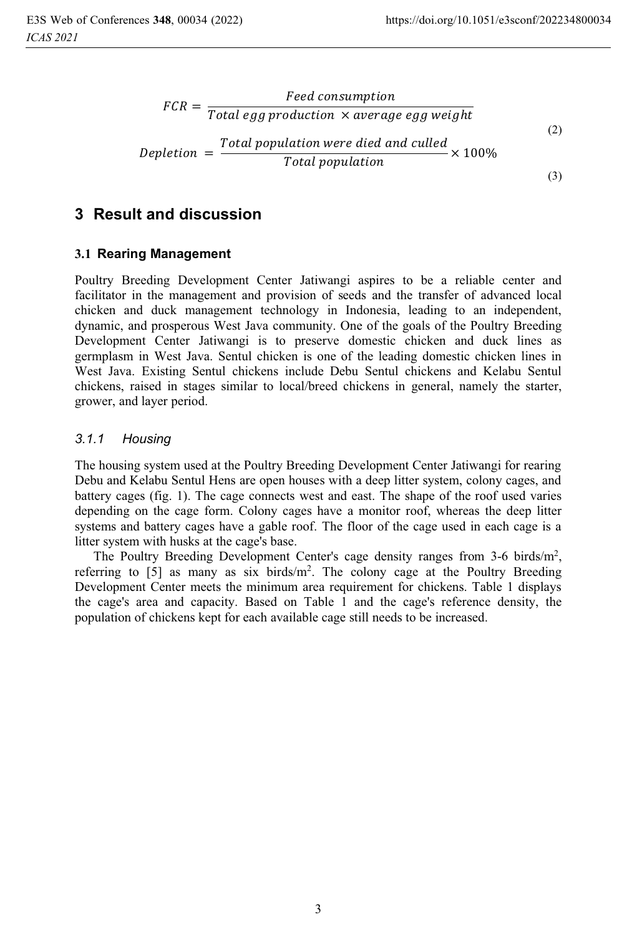$$
FCR = \frac{Feed \ consumption}{Total \ egg \ production \times average \ egg \ weight}
$$
\n
$$
Depletion = \frac{Total \ population \ were \ died \ and \ called}{Total \ population} \times 100\%
$$
\n(3)

## **3 Result and discussion**

### **3.1 Rearing Management**

Poultry Breeding Development Center Jatiwangi aspires to be a reliable center and facilitator in the management and provision of seeds and the transfer of advanced local chicken and duck management technology in Indonesia, leading to an independent, dynamic, and prosperous West Java community. One of the goals of the Poultry Breeding Development Center Jatiwangi is to preserve domestic chicken and duck lines as germplasm in West Java. Sentul chicken is one of the leading domestic chicken lines in West Java. Existing Sentul chickens include Debu Sentul chickens and Kelabu Sentul chickens, raised in stages similar to local/breed chickens in general, namely the starter, grower, and layer period.

### *3.1.1 Housing*

The housing system used at the Poultry Breeding Development Center Jatiwangi for rearing Debu and Kelabu Sentul Hens are open houses with a deep litter system, colony cages, and battery cages (fig. 1). The cage connects west and east. The shape of the roof used varies depending on the cage form. Colony cages have a monitor roof, whereas the deep litter systems and battery cages have a gable roof. The floor of the cage used in each cage is a litter system with husks at the cage's base.

The Poultry Breeding Development Center's cage density ranges from 3-6 birds/m<sup>2</sup>, referring to [5] as many as six birds/m<sup>2</sup> . The colony cage at the Poultry Breeding Development Center meets the minimum area requirement for chickens. Table 1 displays the cage's area and capacity. Based on Table 1 and the cage's reference density, the population of chickens kept for each available cage still needs to be increased.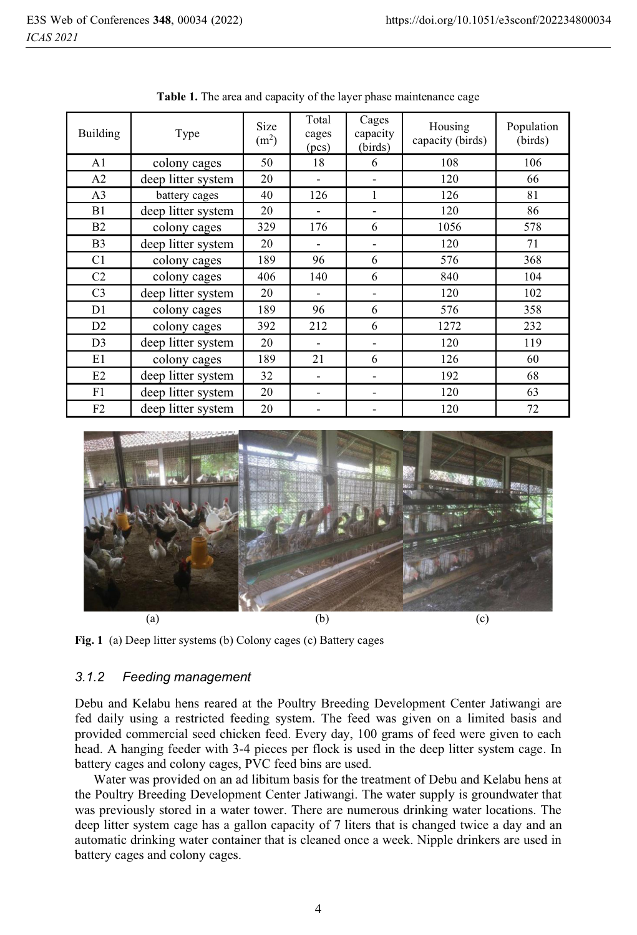| <b>Building</b> | Type               | Size<br>(m <sup>2</sup> ) | Total<br>cages<br>(pcs) | Cages<br>capacity<br>(birds) | Housing<br>capacity (birds) | Population<br>(birds) |
|-----------------|--------------------|---------------------------|-------------------------|------------------------------|-----------------------------|-----------------------|
| A <sub>1</sub>  | colony cages       | 50                        | 18                      | 6                            | 108                         | 106                   |
| A2              | deep litter system | 20                        |                         |                              | 120                         | 66                    |
| A <sub>3</sub>  | battery cages      | 40                        | 126                     | 1                            | 126                         | 81                    |
| B1              | deep litter system | 20                        |                         |                              | 120                         | 86                    |
| B <sub>2</sub>  | colony cages       | 329                       | 176                     | 6                            | 1056                        | 578                   |
| B <sub>3</sub>  | deep litter system | 20                        |                         |                              | 120                         | 71                    |
| C <sub>1</sub>  | colony cages       | 189                       | 96                      | 6                            | 576                         | 368                   |
| C <sub>2</sub>  | colony cages       | 406                       | 140                     | 6                            | 840                         | 104                   |
| C <sub>3</sub>  | deep litter system | 20                        |                         |                              | 120                         | 102                   |
| D1              | colony cages       | 189                       | 96                      | 6                            | 576                         | 358                   |
| D2              | colony cages       | 392                       | 212                     | 6                            | 1272                        | 232                   |
| D <sub>3</sub>  | deep litter system | 20                        |                         |                              | 120                         | 119                   |
| E1              | colony cages       | 189                       | 21                      | 6                            | 126                         | 60                    |
| E2              | deep litter system | 32                        |                         |                              | 192                         | 68                    |
| F1              | deep litter system | 20                        |                         |                              | 120                         | 63                    |
| F <sub>2</sub>  | deep litter system | 20                        |                         |                              | 120                         | 72                    |

**Table 1.** The area and capacity of the layer phase maintenance cage





#### *3.1.2 Feeding management*

Debu and Kelabu hens reared at the Poultry Breeding Development Center Jatiwangi are fed daily using a restricted feeding system. The feed was given on a limited basis and provided commercial seed chicken feed. Every day, 100 grams of feed were given to each head. A hanging feeder with 3-4 pieces per flock is used in the deep litter system cage. In battery cages and colony cages, PVC feed bins are used.

Water was provided on an ad libitum basis for the treatment of Debu and Kelabu hens at the Poultry Breeding Development Center Jatiwangi. The water supply is groundwater that was previously stored in a water tower. There are numerous drinking water locations. The deep litter system cage has a gallon capacity of 7 liters that is changed twice a day and an automatic drinking water container that is cleaned once a week. Nipple drinkers are used in battery cages and colony cages.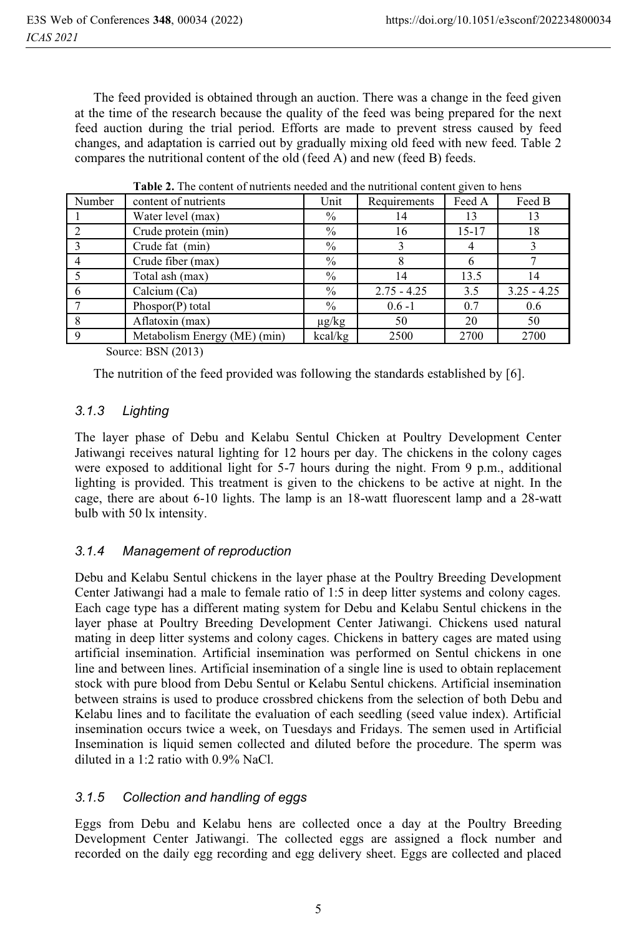The feed provided is obtained through an auction. There was a change in the feed given at the time of the research because the quality of the feed was being prepared for the next feed auction during the trial period. Efforts are made to prevent stress caused by feed changes, and adaptation is carried out by gradually mixing old feed with new feed. Table 2 compares the nutritional content of the old (feed A) and new (feed B) feeds.

|        | concent of humiliano hecaca and me humilional concent given to heng |               |               |           |               |  |  |  |  |  |
|--------|---------------------------------------------------------------------|---------------|---------------|-----------|---------------|--|--|--|--|--|
| Number | content of nutrients                                                | Unit          | Requirements  | Feed A    | Feed B        |  |  |  |  |  |
|        | Water level (max)                                                   | $\%$          | 14            | 13        | 13            |  |  |  |  |  |
|        | Crude protein (min)                                                 | $\frac{0}{0}$ | 16            | $15 - 17$ | 18            |  |  |  |  |  |
|        | Crude fat (min)                                                     | $\%$          |               |           |               |  |  |  |  |  |
|        | Crude fiber (max)                                                   | $\%$          |               | 6         |               |  |  |  |  |  |
|        | Total ash (max)                                                     | $\%$          | 14            | 13.5      | 14            |  |  |  |  |  |
|        | Calcium (Ca)                                                        | $\%$          | $2.75 - 4.25$ | 3.5       | $3.25 - 4.25$ |  |  |  |  |  |
|        | Phospor(P) total                                                    | $\%$          | $0.6 - 1$     | 0.7       | 0.6           |  |  |  |  |  |
|        | Aflatoxin (max)                                                     | $\mu$ g/kg    | 50            | 20        | 50            |  |  |  |  |  |
|        | Metabolism Energy (ME) (min)                                        | kcal/kg       | 2500          | 2700      | 2700          |  |  |  |  |  |
|        |                                                                     |               |               |           |               |  |  |  |  |  |

**Table 2.** The content of nutrients needed and the nutritional content given to hens

Source: BSN (2013)

The nutrition of the feed provided was following the standards established by [6].

### *3.1.3 Lighting*

The layer phase of Debu and Kelabu Sentul Chicken at Poultry Development Center Jatiwangi receives natural lighting for 12 hours per day. The chickens in the colony cages were exposed to additional light for 5-7 hours during the night. From 9 p.m., additional lighting is provided. This treatment is given to the chickens to be active at night. In the cage, there are about 6-10 lights. The lamp is an 18-watt fluorescent lamp and a 28-watt bulb with 50 lx intensity.

### *3.1.4 Management of reproduction*

Debu and Kelabu Sentul chickens in the layer phase at the Poultry Breeding Development Center Jatiwangi had a male to female ratio of 1:5 in deep litter systems and colony cages. Each cage type has a different mating system for Debu and Kelabu Sentul chickens in the layer phase at Poultry Breeding Development Center Jatiwangi. Chickens used natural mating in deep litter systems and colony cages. Chickens in battery cages are mated using artificial insemination. Artificial insemination was performed on Sentul chickens in one line and between lines. Artificial insemination of a single line is used to obtain replacement stock with pure blood from Debu Sentul or Kelabu Sentul chickens. Artificial insemination between strains is used to produce crossbred chickens from the selection of both Debu and Kelabu lines and to facilitate the evaluation of each seedling (seed value index). Artificial insemination occurs twice a week, on Tuesdays and Fridays. The semen used in Artificial Insemination is liquid semen collected and diluted before the procedure. The sperm was diluted in a 1:2 ratio with 0.9% NaCl.

### *3.1.5 Collection and handling of eggs*

Eggs from Debu and Kelabu hens are collected once a day at the Poultry Breeding Development Center Jatiwangi. The collected eggs are assigned a flock number and recorded on the daily egg recording and egg delivery sheet. Eggs are collected and placed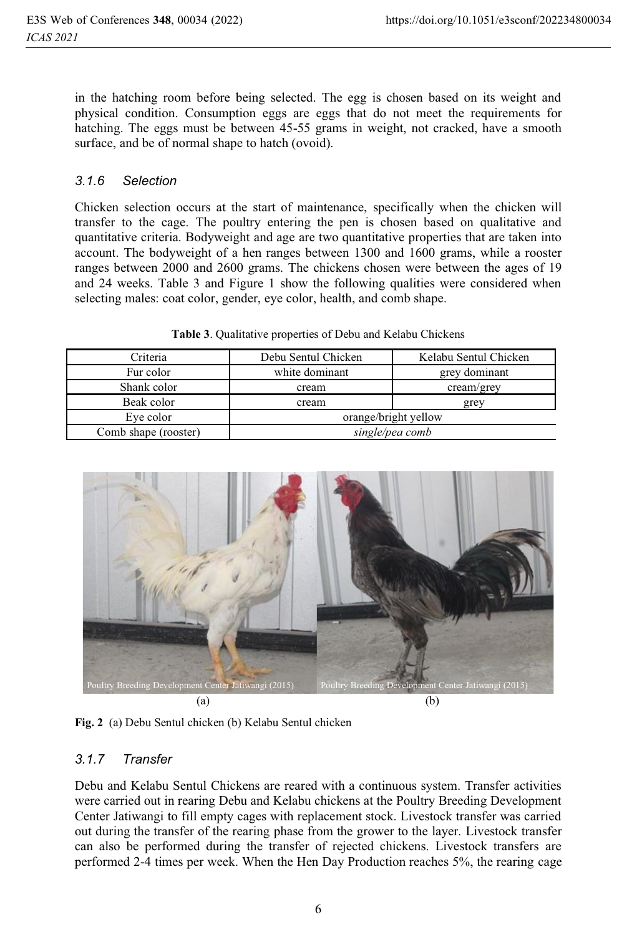in the hatching room before being selected. The egg is chosen based on its weight and physical condition. Consumption eggs are eggs that do not meet the requirements for hatching. The eggs must be between 45-55 grams in weight, not cracked, have a smooth surface, and be of normal shape to hatch (ovoid).

#### *3.1.6 Selection*

Chicken selection occurs at the start of maintenance, specifically when the chicken will transfer to the cage. The poultry entering the pen is chosen based on qualitative and quantitative criteria. Bodyweight and age are two quantitative properties that are taken into account. The bodyweight of a hen ranges between 1300 and 1600 grams, while a rooster ranges between 2000 and 2600 grams. The chickens chosen were between the ages of 19 and 24 weeks. Table 3 and Figure 1 show the following qualities were considered when selecting males: coat color, gender, eye color, health, and comb shape.

| Table 3. Qualitative properties of Debu and Kelabu Chickens |
|-------------------------------------------------------------|
|-------------------------------------------------------------|

| Criteria             | Debu Sentul Chicken  | Kelabu Sentul Chicken |  |  |
|----------------------|----------------------|-----------------------|--|--|
| Fur color            | white dominant       | grey dominant         |  |  |
| Shank color          | cream                | cream/grey            |  |  |
| Beak color           | cream                | grey                  |  |  |
| Eye color            | orange/bright yellow |                       |  |  |
| Comb shape (rooster) | single/pea comb      |                       |  |  |
|                      |                      |                       |  |  |



**Fig. 2** (a) Debu Sentul chicken (b) Kelabu Sentul chicken

### *3.1.7 Transfer*

Debu and Kelabu Sentul Chickens are reared with a continuous system. Transfer activities were carried out in rearing Debu and Kelabu chickens at the Poultry Breeding Development Center Jatiwangi to fill empty cages with replacement stock. Livestock transfer was carried out during the transfer of the rearing phase from the grower to the layer. Livestock transfer can also be performed during the transfer of rejected chickens. Livestock transfers are performed 2-4 times per week. When the Hen Day Production reaches 5%, the rearing cage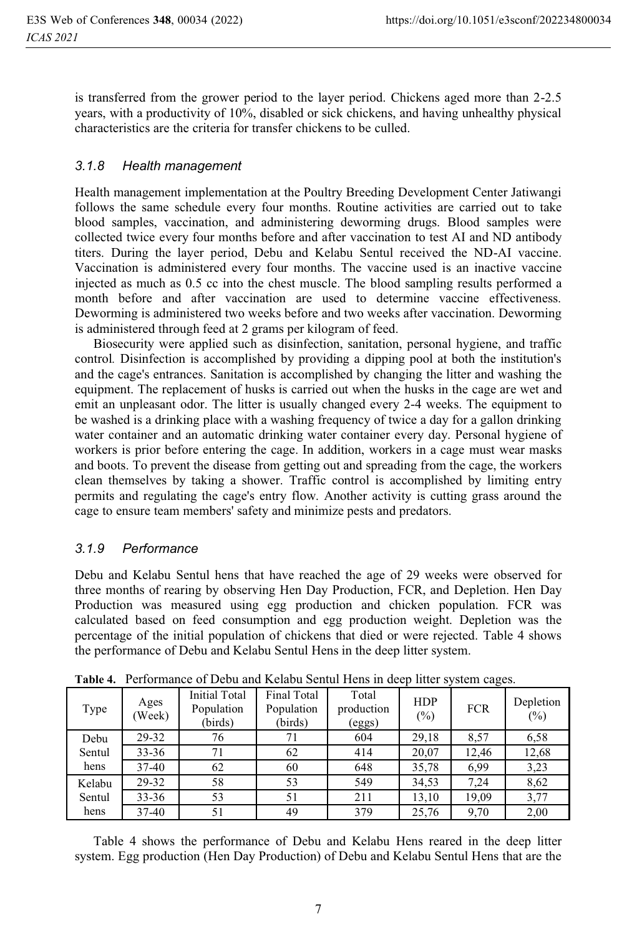is transferred from the grower period to the layer period. Chickens aged more than 2-2.5 years, with a productivity of 10%, disabled or sick chickens, and having unhealthy physical characteristics are the criteria for transfer chickens to be culled.

#### *3.1.8 Health management*

Health management implementation at the Poultry Breeding Development Center Jatiwangi follows the same schedule every four months. Routine activities are carried out to take blood samples, vaccination, and administering deworming drugs. Blood samples were collected twice every four months before and after vaccination to test AI and ND antibody titers. During the layer period, Debu and Kelabu Sentul received the ND-AI vaccine. Vaccination is administered every four months. The vaccine used is an inactive vaccine injected as much as 0.5 cc into the chest muscle. The blood sampling results performed a month before and after vaccination are used to determine vaccine effectiveness. Deworming is administered two weeks before and two weeks after vaccination. Deworming is administered through feed at 2 grams per kilogram of feed.

Biosecurity were applied such as disinfection, sanitation, personal hygiene, and traffic control*.* Disinfection is accomplished by providing a dipping pool at both the institution's and the cage's entrances. Sanitation is accomplished by changing the litter and washing the equipment. The replacement of husks is carried out when the husks in the cage are wet and emit an unpleasant odor. The litter is usually changed every 2-4 weeks. The equipment to be washed is a drinking place with a washing frequency of twice a day for a gallon drinking water container and an automatic drinking water container every day. Personal hygiene of workers is prior before entering the cage. In addition, workers in a cage must wear masks and boots. To prevent the disease from getting out and spreading from the cage, the workers clean themselves by taking a shower. Traffic control is accomplished by limiting entry permits and regulating the cage's entry flow. Another activity is cutting grass around the cage to ensure team members' safety and minimize pests and predators.

### *3.1.9 Performance*

Debu and Kelabu Sentul hens that have reached the age of 29 weeks were observed for three months of rearing by observing Hen Day Production, FCR, and Depletion. Hen Day Production was measured using egg production and chicken population. FCR was calculated based on feed consumption and egg production weight. Depletion was the percentage of the initial population of chickens that died or were rejected. Table 4 shows the performance of Debu and Kelabu Sentul Hens in the deep litter system.

| Type   | Ages<br>(Week) | Initial Total<br>Population<br>(birds) | Final Total<br>Population<br>(birds) | Total<br>production<br>(eggs) | <b>HDP</b><br>$(\%)$ | <b>FCR</b> | Depletion<br>$(\%)$ |
|--------|----------------|----------------------------------------|--------------------------------------|-------------------------------|----------------------|------------|---------------------|
| Debu   | 29-32          | 76                                     | 71                                   | 604                           | 29,18                | 8.57       | 6,58                |
| Sentul | $33 - 36$      | 71                                     | 62                                   | 414                           | 20,07                | 12.46      | 12,68               |
| hens   | $37 - 40$      | 62                                     | 60                                   | 648                           | 35,78                | 6.99       | 3,23                |
| Kelabu | 29-32          | 58                                     | 53                                   | 549                           | 34,53                | 7,24       | 8,62                |
| Sentul | $33 - 36$      | 53                                     | 51                                   | 211                           | 13,10                | 19,09      | 3,77                |
| hens   | $37-40$        | 51                                     | 49                                   | 379                           | 25,76                | 9,70       | 2,00                |

**Table 4.** Performance of Debu and Kelabu Sentul Hens in deep litter system cages.

Table 4 shows the performance of Debu and Kelabu Hens reared in the deep litter system. Egg production (Hen Day Production) of Debu and Kelabu Sentul Hens that are the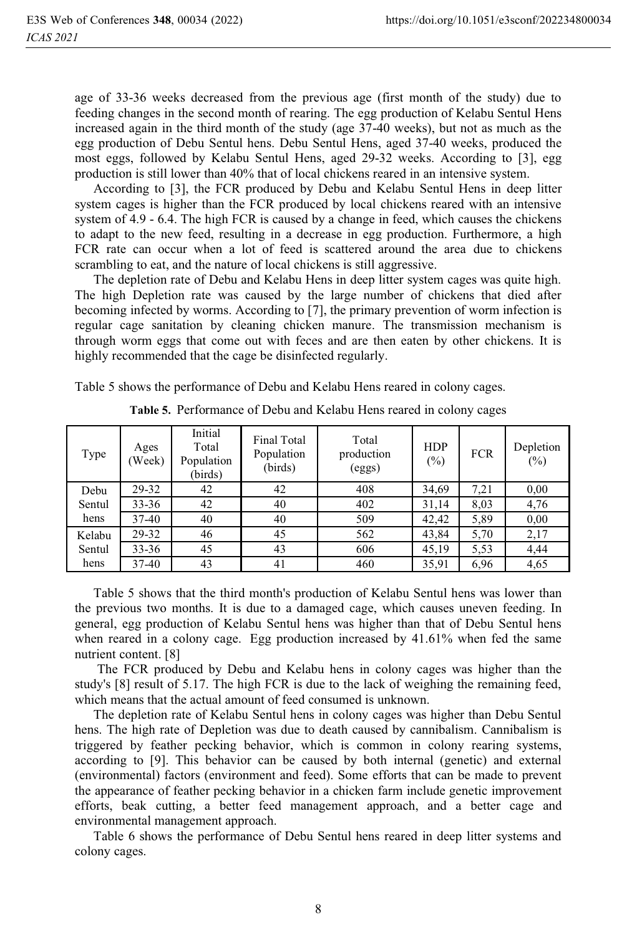age of 33-36 weeks decreased from the previous age (first month of the study) due to feeding changes in the second month of rearing. The egg production of Kelabu Sentul Hens increased again in the third month of the study (age 37-40 weeks), but not as much as the egg production of Debu Sentul hens. Debu Sentul Hens, aged 37-40 weeks, produced the most eggs, followed by Kelabu Sentul Hens, aged 29-32 weeks. According to [3], egg production is still lower than 40% that of local chickens reared in an intensive system.

According to [3], the FCR produced by Debu and Kelabu Sentul Hens in deep litter system cages is higher than the FCR produced by local chickens reared with an intensive system of 4.9 - 6.4. The high FCR is caused by a change in feed, which causes the chickens to adapt to the new feed, resulting in a decrease in egg production. Furthermore, a high FCR rate can occur when a lot of feed is scattered around the area due to chickens scrambling to eat, and the nature of local chickens is still aggressive.

The depletion rate of Debu and Kelabu Hens in deep litter system cages was quite high. The high Depletion rate was caused by the large number of chickens that died after becoming infected by worms. According to [7], the primary prevention of worm infection is regular cage sanitation by cleaning chicken manure. The transmission mechanism is through worm eggs that come out with feces and are then eaten by other chickens. It is highly recommended that the cage be disinfected regularly.

Table 5 shows the performance of Debu and Kelabu Hens reared in colony cages.

| Type   | Ages<br>(Week) | Initial<br>Total<br>Population<br>(birds) | Final Total<br>Population<br>(birds) | Total<br>production<br>(eggs) | <b>HDP</b><br>$(\%)$ | <b>FCR</b> | Depletion<br>$(\%)$ |
|--------|----------------|-------------------------------------------|--------------------------------------|-------------------------------|----------------------|------------|---------------------|
| Debu   | 29-32          | 42                                        | 42                                   | 408                           | 34,69                | 7,21       | 0.00                |
| Sentul | $33 - 36$      | 42                                        | 40                                   | 402                           | 31,14                | 8,03       | 4,76                |
| hens   | 37-40          | 40                                        | 40                                   | 509                           | 42,42                | 5,89       | 0.00                |
| Kelabu | 29-32          | 46                                        | 45                                   | 562                           | 43,84                | 5,70       | 2,17                |
| Sentul | $33 - 36$      | 45                                        | 43                                   | 606                           | 45,19                | 5.53       | 4,44                |
| hens   | 37-40          | 43                                        | 41                                   | 460                           | 35,91                | 6,96       | 4,65                |

**Table 5.** Performance of Debu and Kelabu Hens reared in colony cages

Table 5 shows that the third month's production of Kelabu Sentul hens was lower than the previous two months. It is due to a damaged cage, which causes uneven feeding. In general, egg production of Kelabu Sentul hens was higher than that of Debu Sentul hens when reared in a colony cage. Egg production increased by 41.61% when fed the same nutrient content. [8]

 The FCR produced by Debu and Kelabu hens in colony cages was higher than the study's [8] result of 5.17. The high FCR is due to the lack of weighing the remaining feed, which means that the actual amount of feed consumed is unknown.

The depletion rate of Kelabu Sentul hens in colony cages was higher than Debu Sentul hens. The high rate of Depletion was due to death caused by cannibalism. Cannibalism is triggered by feather pecking behavior, which is common in colony rearing systems, according to [9]. This behavior can be caused by both internal (genetic) and external (environmental) factors (environment and feed). Some efforts that can be made to prevent the appearance of feather pecking behavior in a chicken farm include genetic improvement efforts, beak cutting, a better feed management approach, and a better cage and environmental management approach.

Table 6 shows the performance of Debu Sentul hens reared in deep litter systems and colony cages.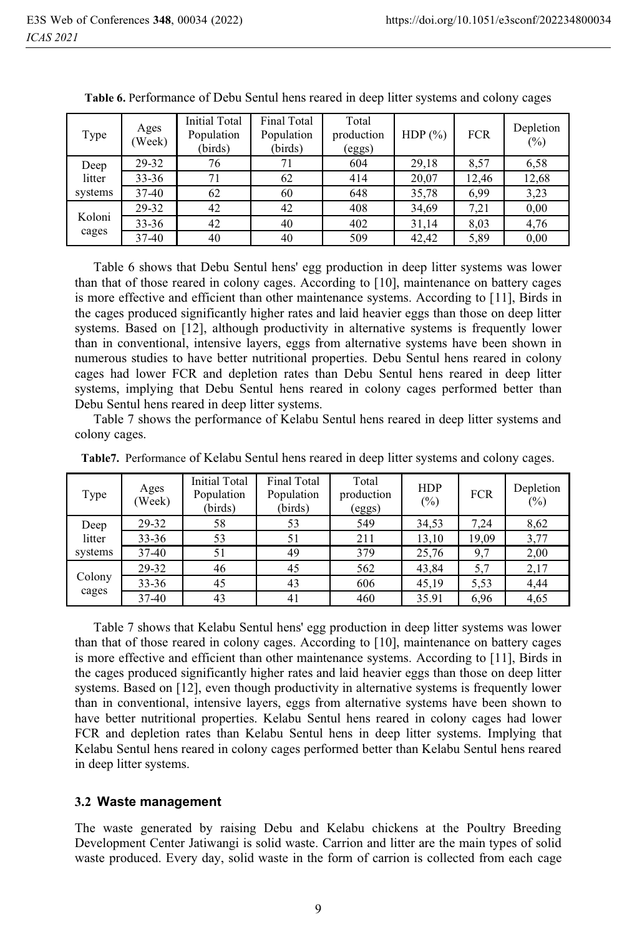| Type    | Ages<br>(Week) | <b>Initial Total</b><br>Population<br>(birds) | Final Total<br>Population<br>(birds) | Total<br>production<br>(eggs) | HDP $(\%)$ | <b>FCR</b> | Depletion<br>$(\%)$ |
|---------|----------------|-----------------------------------------------|--------------------------------------|-------------------------------|------------|------------|---------------------|
| Deep    | 29-32          | 76                                            | 71                                   | 604                           | 29,18      | 8,57       | 6,58                |
| litter  | $33 - 36$      | 71                                            | 62                                   | 414                           | 20,07      | 12.46      | 12,68               |
| systems | 37-40          | 62                                            | 60                                   | 648                           | 35,78      | 6.99       | 3,23                |
|         | 29-32          | 42                                            | 42                                   | 408                           | 34,69      | 7.21       | 0,00                |
| Koloni  | $33 - 36$      | 42                                            | 40                                   | 402                           | 31,14      | 8,03       | 4,76                |
| cages   | 37-40          | 40                                            | 40                                   | 509                           | 42,42      | 5,89       | 0,00                |

**Table 6.** Performance of Debu Sentul hens reared in deep litter systems and colony cages

Table 6 shows that Debu Sentul hens' egg production in deep litter systems was lower than that of those reared in colony cages. According to [10], maintenance on battery cages is more effective and efficient than other maintenance systems. According to [11], Birds in the cages produced significantly higher rates and laid heavier eggs than those on deep litter systems. Based on [12], although productivity in alternative systems is frequently lower than in conventional, intensive layers, eggs from alternative systems have been shown in numerous studies to have better nutritional properties. Debu Sentul hens reared in colony cages had lower FCR and depletion rates than Debu Sentul hens reared in deep litter systems, implying that Debu Sentul hens reared in colony cages performed better than Debu Sentul hens reared in deep litter systems.

Table 7 shows the performance of Kelabu Sentul hens reared in deep litter systems and colony cages.

| Type    | Ages<br>(Week) | <b>Initial Total</b><br>Population<br>(birds) | <b>Final Total</b><br>Population<br>(birds) | Total<br>production<br>(eggs) | <b>HDP</b><br>(%) | <b>FCR</b> | Depletion<br>$(\%)$ |
|---------|----------------|-----------------------------------------------|---------------------------------------------|-------------------------------|-------------------|------------|---------------------|
| Deep    | 29-32          | 58                                            | 53                                          | 549                           | 34,53             | 7,24       | 8,62                |
| litter  | $33 - 36$      | 53                                            | 51                                          | 211                           | 13,10             | 19,09      | 3,77                |
| systems | 37-40          | 51                                            | 49                                          | 379                           | 25,76             | 9,7        | 2,00                |
|         | 29-32          | 46                                            | 45                                          | 562                           | 43,84             | 5,7        | 2,17                |
| Colony  | $33 - 36$      | 45                                            | 43                                          | 606                           | 45,19             | 5,53       | 4,44                |
| cages   | 37-40          | 43                                            | 41                                          | 460                           | 35.91             | 6,96       | 4,65                |

**Table7.** Performance of Kelabu Sentul hens reared in deep litter systems and colony cages.

Table 7 shows that Kelabu Sentul hens' egg production in deep litter systems was lower than that of those reared in colony cages. According to [10], maintenance on battery cages is more effective and efficient than other maintenance systems. According to [11], Birds in the cages produced significantly higher rates and laid heavier eggs than those on deep litter systems. Based on [12], even though productivity in alternative systems is frequently lower than in conventional, intensive layers, eggs from alternative systems have been shown to have better nutritional properties. Kelabu Sentul hens reared in colony cages had lower FCR and depletion rates than Kelabu Sentul hens in deep litter systems. Implying that Kelabu Sentul hens reared in colony cages performed better than Kelabu Sentul hens reared in deep litter systems.

#### **3.2 Waste management**

The waste generated by raising Debu and Kelabu chickens at the Poultry Breeding Development Center Jatiwangi is solid waste. Carrion and litter are the main types of solid waste produced. Every day, solid waste in the form of carrion is collected from each cage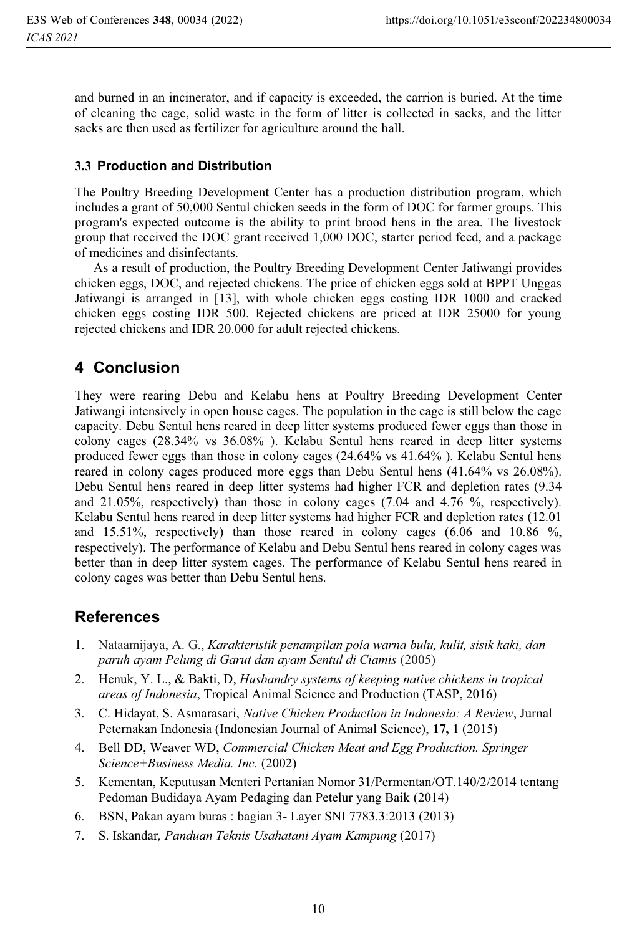and burned in an incinerator, and if capacity is exceeded, the carrion is buried. At the time of cleaning the cage, solid waste in the form of litter is collected in sacks, and the litter sacks are then used as fertilizer for agriculture around the hall.

### **3.3 Production and Distribution**

The Poultry Breeding Development Center has a production distribution program, which includes a grant of 50,000 Sentul chicken seeds in the form of DOC for farmer groups. This program's expected outcome is the ability to print brood hens in the area. The livestock group that received the DOC grant received 1,000 DOC, starter period feed, and a package of medicines and disinfectants.

As a result of production, the Poultry Breeding Development Center Jatiwangi provides chicken eggs, DOC, and rejected chickens. The price of chicken eggs sold at BPPT Unggas Jatiwangi is arranged in [13], with whole chicken eggs costing IDR 1000 and cracked chicken eggs costing IDR 500. Rejected chickens are priced at IDR 25000 for young rejected chickens and IDR 20.000 for adult rejected chickens.

## **4 Conclusion**

They were rearing Debu and Kelabu hens at Poultry Breeding Development Center Jatiwangi intensively in open house cages. The population in the cage is still below the cage capacity. Debu Sentul hens reared in deep litter systems produced fewer eggs than those in colony cages (28.34% vs 36.08% ). Kelabu Sentul hens reared in deep litter systems produced fewer eggs than those in colony cages (24.64% vs 41.64% ). Kelabu Sentul hens reared in colony cages produced more eggs than Debu Sentul hens (41.64% vs 26.08%). Debu Sentul hens reared in deep litter systems had higher FCR and depletion rates (9.34 and 21.05%, respectively) than those in colony cages (7.04 and 4.76 %, respectively). Kelabu Sentul hens reared in deep litter systems had higher FCR and depletion rates (12.01 and 15.51%, respectively) than those reared in colony cages (6.06 and 10.86 %, respectively). The performance of Kelabu and Debu Sentul hens reared in colony cages was better than in deep litter system cages. The performance of Kelabu Sentul hens reared in colony cages was better than Debu Sentul hens.

## **References**

- 1. Nataamijaya, A. G., *Karakteristik penampilan pola warna bulu, kulit, sisik kaki, dan paruh ayam Pelung di Garut dan ayam Sentul di Ciamis* (2005)
- 2. Henuk, Y. L., & Bakti, D, *Husbandry systems of keeping native chickens in tropical areas of Indonesia*, Tropical Animal Science and Production (TASP, 2016)
- 3. C. Hidayat, S. Asmarasari, *Native Chicken Production in Indonesia: A Review*, Jurnal Peternakan Indonesia (Indonesian Journal of Animal Science), **17,** 1 (2015)
- 4. Bell DD, Weaver WD, *Commercial Chicken Meat and Egg Production. Springer Science+Business Media. Inc.* (2002)
- 5. Kementan, Keputusan Menteri Pertanian Nomor 31/Permentan/OT.140/2/2014 tentang Pedoman Budidaya Ayam Pedaging dan Petelur yang Baik (2014)
- 6. BSN, Pakan ayam buras : bagian 3- Layer SNI 7783.3:2013 (2013)
- 7. S. Iskandar*, Panduan Teknis Usahatani Ayam Kampung* (2017)